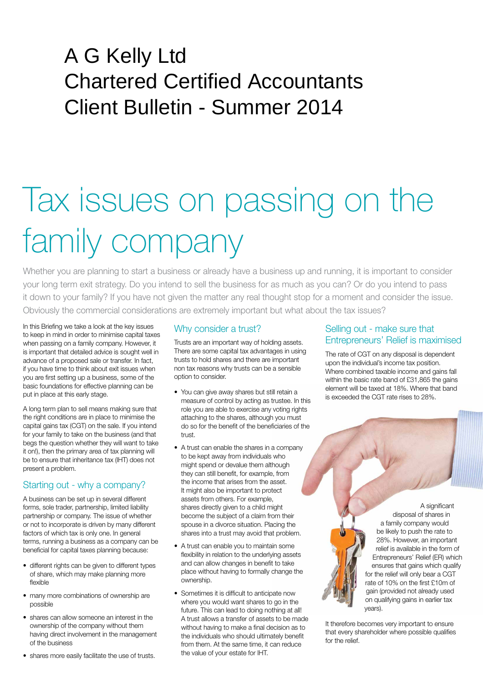# A G Kelly Ltd Chartered Certified Accountants Client Bulletin - Summer 2014

# Tax issues on passing on the family company

Whether you are planning to start a business or already have a business up and running, it is important to consider your long term exit strategy. Do you intend to sell the business for as much as you can? Or do you intend to pass it down to your family? If you have not given the matter any real thought stop for a moment and consider the issue. Obviously the commercial considerations are extremely important but what about the tax issues?

In this Briefing we take a look at the key issues to keep in mind in order to minimise capital taxes when passing on a family company. However, it is important that detailed advice is sought well in advance of a proposed sale or transfer. In fact, if you have time to think about exit issues when you are first setting up a business, some of the basic foundations for effective planning can be put in place at this early stage.

A long term plan to sell means making sure that the right conditions are in place to minimise the capital gains tax (CGT) on the sale. If you intend for your family to take on the business (and that begs the question whether they will want to take it on!), then the primary area of tax planning will be to ensure that inheritance tax (IHT) does not present a problem.

## Starting out - why a company?

A business can be set up in several different forms, sole trader, partnership, limited liability partnership or company. The issue of whether or not to incorporate is driven by many different factors of which tax is only one. In general terms, running a business as a company can be beneficial for capital taxes planning because:

- different rights can be given to different types of share, which may make planning more flexible
- many more combinations of ownership are possible
- shares can allow someone an interest in the ownership of the company without them having direct involvement in the management of the business
- shares more easily facilitate the use of trusts.

# Why consider a trust?

Trusts are an important way of holding assets. There are some capital tax advantages in using trusts to hold shares and there are important non tax reasons why trusts can be a sensible option to consider.

- You can give away shares but still retain a measure of control by acting as trustee. In this role you are able to exercise any voting rights attaching to the shares, although you must do so for the benefit of the beneficiaries of the trust.
- A trust can enable the shares in a company to be kept away from individuals who might spend or devalue them although they can still benefit, for example, from the income that arises from the asset. It might also be important to protect assets from others. For example, shares directly given to a child might become the subject of a claim from their spouse in a divorce situation. Placing the shares into a trust may avoid that problem.
- A trust can enable you to maintain some flexibility in relation to the underlying assets and can allow changes in benefit to take place without having to formally change the ownership.
- Sometimes it is difficult to anticipate now where you would want shares to go in the future. This can lead to doing nothing at all! A trust allows a transfer of assets to be made without having to make a final decision as to the individuals who should ultimately benefit from them. At the same time, it can reduce the value of your estate for IHT.

### Selling out - make sure that Entrepreneurs' Relief is maximised

The rate of CGT on any disposal is dependent upon the individual's income tax position. Where combined taxable income and gains fall within the basic rate band of £31,865 the gains element will be taxed at 18%. Where that band is exceeded the CGT rate rises to 28%.

> A significant disposal of shares in a family company would be likely to push the rate to 28%. However, an important relief is available in the form of Entrepreneurs' Relief (ER) which ensures that gains which qualify for the relief will only bear a CGT rate of 10% on the first £10m of gain (provided not already used on qualifying gains in earlier tax years).

It therefore becomes very important to ensure that every shareholder where possible qualifies for the relief.